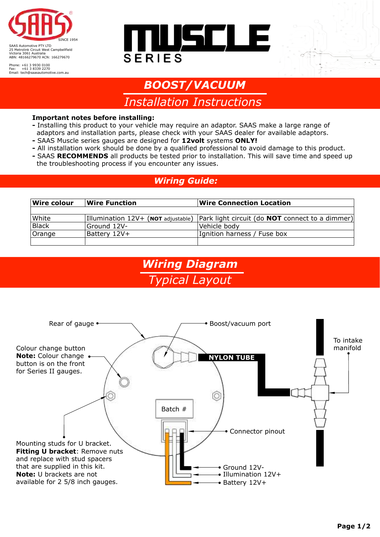

Phone: +61 3 9930 0100 Fax: +61 3 8339 2270 Email: tech@saasautomotive.com.au





# *Installation Instructions BOOST/VACUUM*

#### **Important notes before installing:**

- Installing this product to your vehicle may require an adaptor. SAAS make a large range of adaptors and installation parts, please check with your SAAS dealer for available adaptors.
- SAAS Muscle series gauges are designed for **12volt** systems **ONLY!**
- **-** All installation work should be done by a qualified professional to avoid damage to this product.
- SAAS **RECOMMENDS** all products be tested prior to installation. This will save time and speed up the troubleshooting process if you encounter any issues.

#### *Wiring Guide:*

| <b>Wire colour</b> | $\sf{W}$ ire Function | <b>Wire Connection Location</b>                                                       |
|--------------------|-----------------------|---------------------------------------------------------------------------------------|
|                    |                       |                                                                                       |
| White              |                       | Illumination $12V$ + (NOT adjustable) Park light circuit (do NOT connect to a dimmer) |
| Black              | Ground 12V-           | Vehicle body                                                                          |
| Orange             | Battery 12V+          | Ignition harness / Fuse box                                                           |
|                    |                       |                                                                                       |